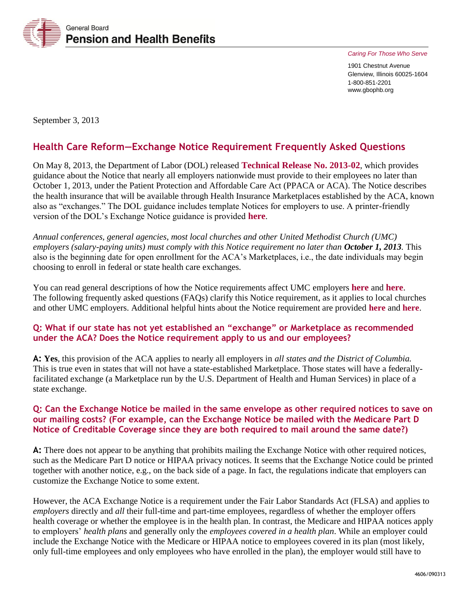

*Caring For Those Who Serve* 

1901 Chestnut Avenue Glenview, Illinois 60025-1604 1-800-851-2201 www.gbophb.org

September 3, 2013

# **Health Care Reform—Exchange Notice Requirement Frequently Asked Questions**

On May 8, 2013, the Department of Labor (DOL) released **[Technical Release No. 2013-02](http://www.dol.gov/ebsa/newsroom/tr13-02.html)**, which provides guidance about the Notice that nearly all employers nationwide must provide to their employees no later than October 1, 2013, under the Patient Protection and Affordable Care Act (PPACA or ACA). The Notice describes the health insurance that will be available through Health Insurance Marketplaces established by the ACA, known also as "exchanges." The DOL guidance includes template Notices for employers to use. A printer-friendly version of the DOL's Exchange Notice guidance is provided **[here](http://www.dol.gov/ebsa/pdf/tr13-02.pdf)**.

*Annual conferences, general agencies, most local churches and other United Methodist Church (UMC) employers (salary-paying units) must comply with this Notice requirement no later than October 1, 2013. This* also is the beginning date for open enrollment for the ACA's Marketplaces, i.e., the date individuals may begin choosing to enroll in federal or state health care exchanges.

You can read general descriptions of how the Notice requirements affect UMC employers **[here](http://www.gbophb.org/TheWell/Root/HFLX/4558.pdf)** and **[here](http://www.gbophb.org/TheWell/Root/HFLX/4573.pdf)**. The following frequently asked questions (FAQs) clarify this Notice requirement, as it applies to local churches and other UMC employers. Additional helpful hints about the Notice requirement are provided **[here](http://www.gbophb.org/TheWell/Root/HFLX/4574.pdf)** and **[here](http://www.gbophb.org/TheWell/Root/HFLX/4594.pdf)**.

### **Q: What if our state has not yet established an "exchange" or Marketplace as recommended under the ACA? Does the Notice requirement apply to us and our employees?**

**A: Yes**, this provision of the ACA applies to nearly all employers in *all states and the District of Columbia.* This is true even in states that will not have a state-established Marketplace. Those states will have a federallyfacilitated exchange (a Marketplace run by the U.S. Department of Health and Human Services) in place of a state exchange.

#### **Q: Can the Exchange Notice be mailed in the same envelope as other required notices to save on our mailing costs? (For example, can the Exchange Notice be mailed with the Medicare Part D Notice of Creditable Coverage since they are both required to mail around the same date?)**

**A:** There does not appear to be anything that prohibits mailing the Exchange Notice with other required notices, such as the Medicare Part D notice or HIPAA privacy notices. It seems that the Exchange Notice could be printed together with another notice, e.g., on the back side of a page. In fact, the regulations indicate that employers can customize the Exchange Notice to some extent.

However, the ACA Exchange Notice is a requirement under the Fair Labor Standards Act (FLSA) and applies to *employers* directly and *all* their full-time and part-time employees, regardless of whether the employer offers health coverage or whether the employee is in the health plan. In contrast, the Medicare and HIPAA notices apply to employers' *health plans* and generally only the *employees covered in a health plan*. While an employer could include the Exchange Notice with the Medicare or HIPAA notice to employees covered in its plan (most likely, only full-time employees and only employees who have enrolled in the plan), the employer would still have to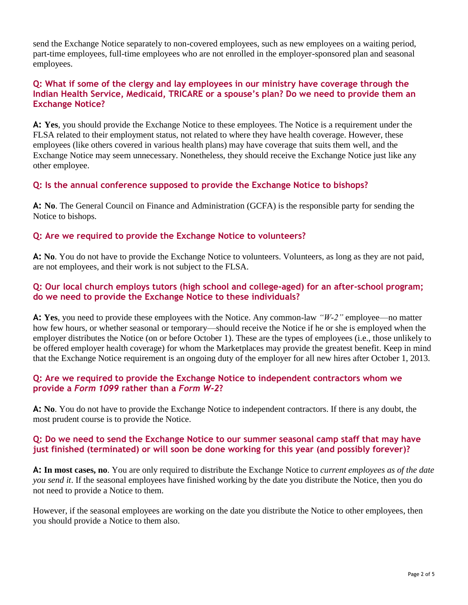send the Exchange Notice separately to non-covered employees, such as new employees on a waiting period, part-time employees, full-time employees who are not enrolled in the employer-sponsored plan and seasonal employees.

### **Q: What if some of the clergy and lay employees in our ministry have coverage through the Indian Health Service, Medicaid, TRICARE or a spouse's plan? Do we need to provide them an Exchange Notice?**

**A: Yes**, you should provide the Exchange Notice to these employees. The Notice is a requirement under the FLSA related to their employment status, not related to where they have health coverage. However, these employees (like others covered in various health plans) may have coverage that suits them well, and the Exchange Notice may seem unnecessary. Nonetheless, they should receive the Exchange Notice just like any other employee.

# **Q: Is the annual conference supposed to provide the Exchange Notice to bishops?**

**A: No**. The General Council on Finance and Administration (GCFA) is the responsible party for sending the Notice to bishops.

### **Q: Are we required to provide the Exchange Notice to volunteers?**

**A: No**. You do not have to provide the Exchange Notice to volunteers. Volunteers, as long as they are not paid, are not employees, and their work is not subject to the FLSA.

### **Q: Our local church employs tutors (high school and college-aged) for an after-school program; do we need to provide the Exchange Notice to these individuals?**

**A: Yes**, you need to provide these employees with the Notice. Any common-law *"W-2"* employee—no matter how few hours, or whether seasonal or temporary—should receive the Notice if he or she is employed when the employer distributes the Notice (on or before October 1). These are the types of employees (i.e., those unlikely to be offered employer health coverage) for whom the Marketplaces may provide the greatest benefit. Keep in mind that the Exchange Notice requirement is an ongoing duty of the employer for all new hires after October 1, 2013.

### **Q: Are we required to provide the Exchange Notice to independent contractors whom we provide a** *Form 1099* **rather than a** *Form W-2***?**

**A: No**. You do not have to provide the Exchange Notice to independent contractors. If there is any doubt, the most prudent course is to provide the Notice.

### **Q: Do we need to send the Exchange Notice to our summer seasonal camp staff that may have just finished (terminated) or will soon be done working for this year (and possibly forever)?**

**A: In most cases, no**. You are only required to distribute the Exchange Notice to *current employees as of the date you send it*. If the seasonal employees have finished working by the date you distribute the Notice, then you do not need to provide a Notice to them.

However, if the seasonal employees are working on the date you distribute the Notice to other employees, then you should provide a Notice to them also.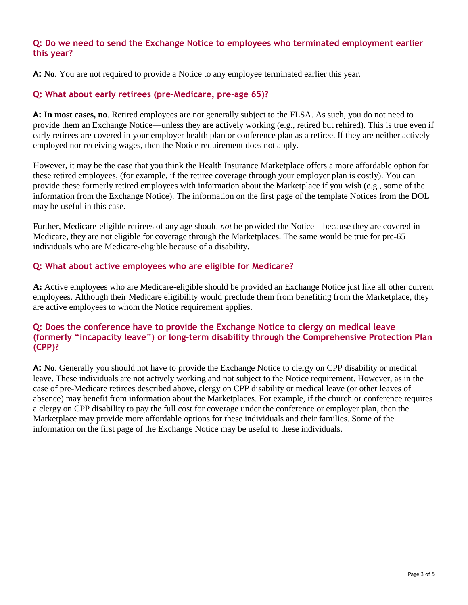#### **Q: Do we need to send the Exchange Notice to employees who terminated employment earlier this year?**

**A: No**. You are not required to provide a Notice to any employee terminated earlier this year.

## **Q: What about early retirees (pre-Medicare, pre-age 65)?**

**A: In most cases, no**. Retired employees are not generally subject to the FLSA. As such, you do not need to provide them an Exchange Notice—unless they are actively working (e.g., retired but rehired). This is true even if early retirees are covered in your employer health plan or conference plan as a retiree. If they are neither actively employed nor receiving wages, then the Notice requirement does not apply.

However, it may be the case that you think the Health Insurance Marketplace offers a more affordable option for these retired employees, (for example, if the retiree coverage through your employer plan is costly). You can provide these formerly retired employees with information about the Marketplace if you wish (e.g., some of the information from the Exchange Notice). The information on the first page of the template Notices from the DOL may be useful in this case.

Further, Medicare-eligible retirees of any age should *not* be provided the Notice—because they are covered in Medicare, they are not eligible for coverage through the Marketplaces. The same would be true for pre-65 individuals who are Medicare-eligible because of a disability.

### **Q: What about active employees who are eligible for Medicare?**

**A:** Active employees who are Medicare-eligible should be provided an Exchange Notice just like all other current employees. Although their Medicare eligibility would preclude them from benefiting from the Marketplace, they are active employees to whom the Notice requirement applies.

## **Q: Does the conference have to provide the Exchange Notice to clergy on medical leave (formerly "incapacity leave") or long-term disability through the Comprehensive Protection Plan (CPP)?**

**A: No**. Generally you should not have to provide the Exchange Notice to clergy on CPP disability or medical leave. These individuals are not actively working and not subject to the Notice requirement. However, as in the case of pre-Medicare retirees described above, clergy on CPP disability or medical leave (or other leaves of absence) may benefit from information about the Marketplaces. For example, if the church or conference requires a clergy on CPP disability to pay the full cost for coverage under the conference or employer plan, then the Marketplace may provide more affordable options for these individuals and their families. Some of the information on the first page of the Exchange Notice may be useful to these individuals.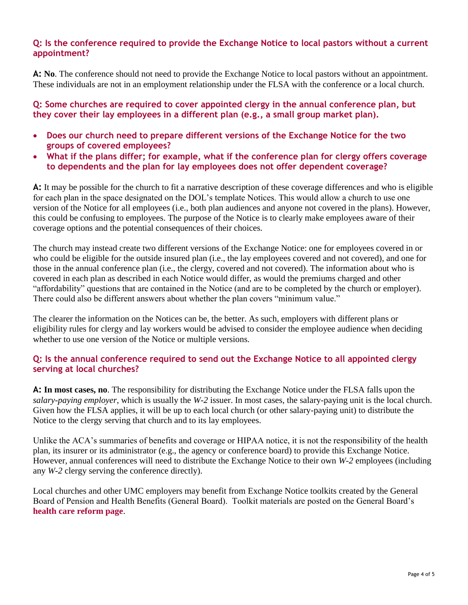#### **Q: Is the conference required to provide the Exchange Notice to local pastors without a current appointment?**

**A: No**. The conference should not need to provide the Exchange Notice to local pastors without an appointment. These individuals are not in an employment relationship under the FLSA with the conference or a local church.

**Q: Some churches are required to cover appointed clergy in the annual conference plan, but they cover their lay employees in a different plan (e.g., a small group market plan).** 

- **Does our church need to prepare different versions of the Exchange Notice for the two groups of covered employees?**
- **What if the plans differ; for example, what if the conference plan for clergy offers coverage to dependents and the plan for lay employees does not offer dependent coverage?**

**A:** It may be possible for the church to fit a narrative description of these coverage differences and who is eligible for each plan in the space designated on the DOL's template Notices. This would allow a church to use one version of the Notice for all employees (i.e., both plan audiences and anyone not covered in the plans). However, this could be confusing to employees. The purpose of the Notice is to clearly make employees aware of their coverage options and the potential consequences of their choices.

The church may instead create two different versions of the Exchange Notice: one for employees covered in or who could be eligible for the outside insured plan (i.e., the lay employees covered and not covered), and one for those in the annual conference plan (i.e., the clergy, covered and not covered). The information about who is covered in each plan as described in each Notice would differ, as would the premiums charged and other "affordability" questions that are contained in the Notice (and are to be completed by the church or employer). There could also be different answers about whether the plan covers "minimum value."

The clearer the information on the Notices can be, the better. As such, employers with different plans or eligibility rules for clergy and lay workers would be advised to consider the employee audience when deciding whether to use one version of the Notice or multiple versions.

# **Q: Is the annual conference required to send out the Exchange Notice to all appointed clergy serving at local churches?**

**A: In most cases, no**. The responsibility for distributing the Exchange Notice under the FLSA falls upon the *salary-paying employer*, which is usually the *W-2* issuer. In most cases, the salary-paying unit is the local church. Given how the FLSA applies, it will be up to each local church (or other salary-paying unit) to distribute the Notice to the clergy serving that church and to its lay employees.

Unlike the ACA's summaries of benefits and coverage or HIPAA notice, it is not the responsibility of the health plan, its insurer or its administrator (e.g., the agency or conference board) to provide this Exchange Notice. However, annual conferences will need to distribute the Exchange Notice to their own *W-2* employees (including any *W-2* clergy serving the conference directly).

Local churches and other UMC employers may benefit from Exchange Notice toolkits created by the General Board of Pension and Health Benefits (General Board). Toolkit materials are posted on the General Board's **[health care reform page](http://www.gbophb.org/health_welfare/healthcarereform/index.asp)**.